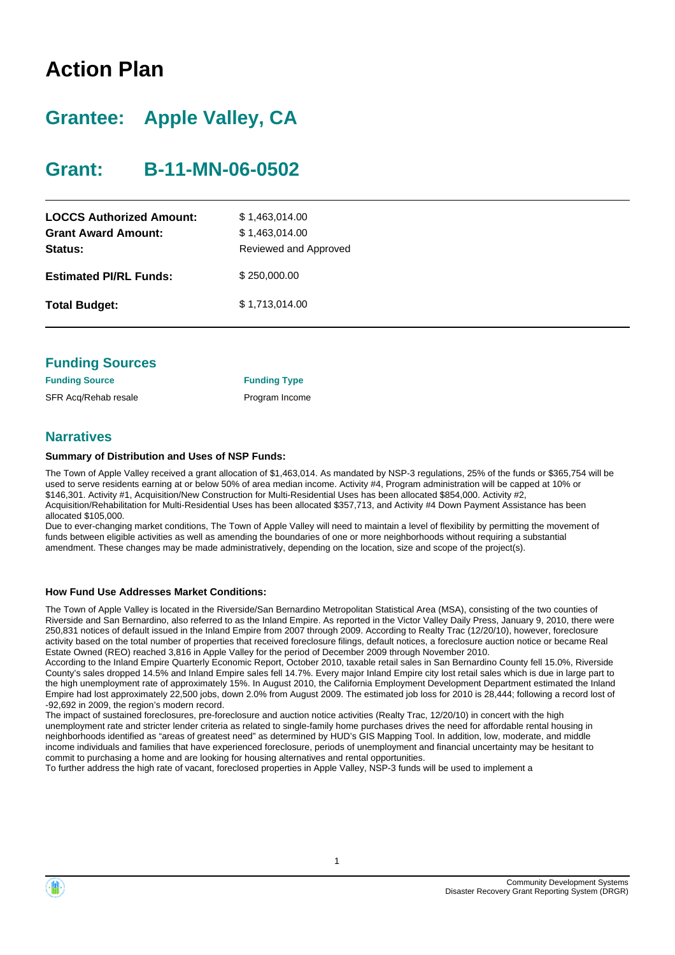# **Action Plan**

# **Grantee: Apple Valley, CA**

# **Grant: B-11-MN-06-0502**

| <b>LOCCS Authorized Amount:</b><br><b>Grant Award Amount:</b><br>Status: | \$1,463,014.00<br>\$1,463,014.00<br>Reviewed and Approved |
|--------------------------------------------------------------------------|-----------------------------------------------------------|
| <b>Estimated PI/RL Funds:</b>                                            | \$250,000.00                                              |
| <b>Total Budget:</b>                                                     | \$1,713,014.00                                            |

| <b>Funding Sources</b> |
|------------------------|
|                        |

**Funding Source Funding Type** SFR Acq/Rehab resale **Program Income** 

### **Narratives**

#### **Summary of Distribution and Uses of NSP Funds:**

The Town of Apple Valley received a grant allocation of \$1,463,014. As mandated by NSP-3 regulations, 25% of the funds or \$365,754 will be used to serve residents earning at or below 50% of area median income. Activity #4, Program administration will be capped at 10% or \$146,301. Activity #1, Acquisition/New Construction for Multi-Residential Uses has been allocated \$854,000. Activity #2, Acquisition/Rehabilitation for Multi-Residential Uses has been allocated \$357,713, and Activity #4 Down Payment Assistance has been allocated \$105,000.

Due to ever-changing market conditions, The Town of Apple Valley will need to maintain a level of flexibility by permitting the movement of funds between eligible activities as well as amending the boundaries of one or more neighborhoods without requiring a substantial amendment. These changes may be made administratively, depending on the location, size and scope of the project(s).

#### **How Fund Use Addresses Market Conditions:**

The Town of Apple Valley is located in the Riverside/San Bernardino Metropolitan Statistical Area (MSA), consisting of the two counties of Riverside and San Bernardino, also referred to as the Inland Empire. As reported in the Victor Valley Daily Press, January 9, 2010, there were 250,831 notices of default issued in the Inland Empire from 2007 through 2009. According to Realty Trac (12/20/10), however, foreclosure activity based on the total number of properties that received foreclosure filings, default notices, a foreclosure auction notice or became Real Estate Owned (REO) reached 3,816 in Apple Valley for the period of December 2009 through November 2010.

According to the Inland Empire Quarterly Economic Report, October 2010, taxable retail sales in San Bernardino County fell 15.0%, Riverside County's sales dropped 14.5% and Inland Empire sales fell 14.7%. Every major Inland Empire city lost retail sales which is due in large part to the high unemployment rate of approximately 15%. In August 2010, the California Employment Development Department estimated the Inland Empire had lost approximately 22,500 jobs, down 2.0% from August 2009. The estimated job loss for 2010 is 28,444; following a record lost of -92,692 in 2009, the region's modern record.

The impact of sustained foreclosures, pre-foreclosure and auction notice activities (Realty Trac, 12/20/10) in concert with the high unemployment rate and stricter lender criteria as related to single-family home purchases drives the need for affordable rental housing in neighborhoods identified as "areas of greatest need" as determined by HUD's GIS Mapping Tool. In addition, low, moderate, and middle income individuals and families that have experienced foreclosure, periods of unemployment and financial uncertainty may be hesitant to commit to purchasing a home and are looking for housing alternatives and rental opportunities.

To further address the high rate of vacant, foreclosed properties in Apple Valley, NSP-3 funds will be used to implement a

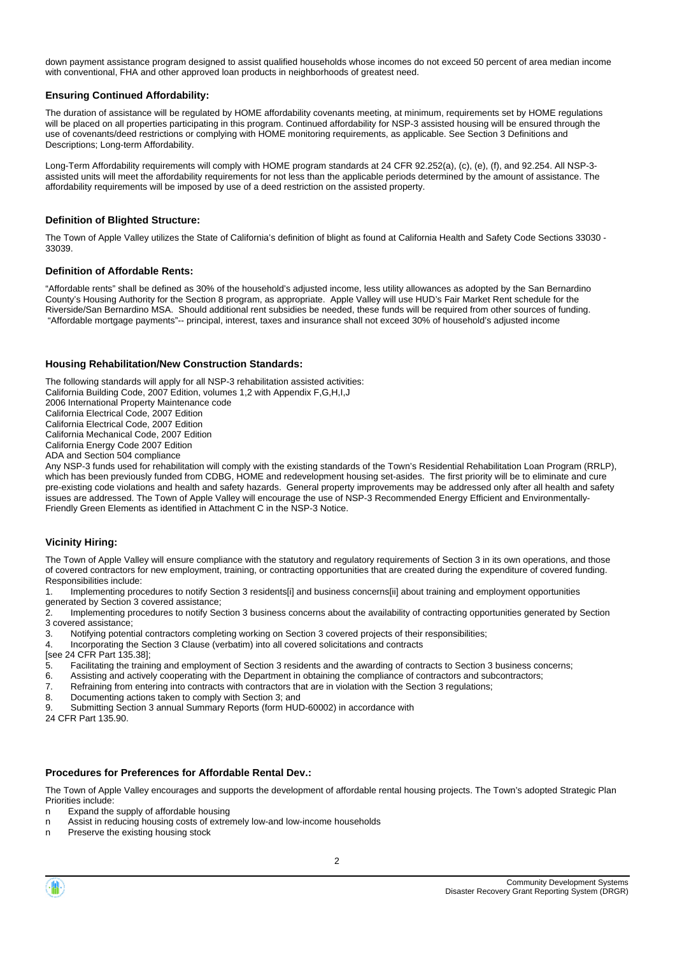down payment assistance program designed to assist qualified households whose incomes do not exceed 50 percent of area median income with conventional, FHA and other approved loan products in neighborhoods of greatest need.

#### **Ensuring Continued Affordability:**

The duration of assistance will be regulated by HOME affordability covenants meeting, at minimum, requirements set by HOME regulations will be placed on all properties participating in this program. Continued affordability for NSP-3 assisted housing will be ensured through the use of covenants/deed restrictions or complying with HOME monitoring requirements, as applicable. See Section 3 Definitions and Descriptions; Long-term Affordability.

Long-Term Affordability requirements will comply with HOME program standards at 24 CFR 92.252(a), (c), (e), (f), and 92.254. All NSP-3 assisted units will meet the affordability requirements for not less than the applicable periods determined by the amount of assistance. The affordability requirements will be imposed by use of a deed restriction on the assisted property.

#### **Definition of Blighted Structure:**

The Town of Apple Valley utilizes the State of California's definition of blight as found at California Health and Safety Code Sections 33030 - 33039.

#### **Definition of Affordable Rents:**

"Affordable rents" shall be defined as 30% of the household's adjusted income, less utility allowances as adopted by the San Bernardino County's Housing Authority for the Section 8 program, as appropriate. Apple Valley will use HUD's Fair Market Rent schedule for the Riverside/San Bernardino MSA. Should additional rent subsidies be needed, these funds will be required from other sources of funding. "Affordable mortgage payments"-- principal, interest, taxes and insurance shall not exceed 30% of household's adjusted income

#### **Housing Rehabilitation/New Construction Standards:**

The following standards will apply for all NSP-3 rehabilitation assisted activities: California Building Code, 2007 Edition, volumes 1,2 with Appendix F,G,H,I,J 2006 International Property Maintenance code California Electrical Code, 2007 Edition California Electrical Code, 2007 Edition California Mechanical Code, 2007 Edition California Energy Code 2007 Edition

ADA and Section 504 compliance

Any NSP-3 funds used for rehabilitation will comply with the existing standards of the Town's Residential Rehabilitation Loan Program (RRLP), which has been previously funded from CDBG, HOME and redevelopment housing set-asides. The first priority will be to eliminate and cure pre-existing code violations and health and safety hazards. General property improvements may be addressed only after all health and safety issues are addressed. The Town of Apple Valley will encourage the use of NSP-3 Recommended Energy Efficient and Environmentally-Friendly Green Elements as identified in Attachment C in the NSP-3 Notice.

#### **Vicinity Hiring:**

The Town of Apple Valley will ensure compliance with the statutory and regulatory requirements of Section 3 in its own operations, and those of covered contractors for new employment, training, or contracting opportunities that are created during the expenditure of covered funding. Responsibilities include:

1. Implementing procedures to notify Section 3 residents[i] and business concerns[ii] about training and employment opportunities generated by Section 3 covered assistance;

2. Implementing procedures to notify Section 3 business concerns about the availability of contracting opportunities generated by Section 3 covered assistance;

3. Notifying potential contractors completing working on Section 3 covered projects of their responsibilities;

4. Incorporating the Section 3 Clause (verbatim) into all covered solicitations and contracts

[see 24 CFR Part 135.38];

5. Facilitating the training and employment of Section 3 residents and the awarding of contracts to Section 3 business concerns;

- 6. Assisting and actively cooperating with the Department in obtaining the compliance of contractors and subcontractors;
- 7. Refraining from entering into contracts with contractors that are in violation with the Section 3 regulations;
- 8. Documenting actions taken to comply with Section 3; and

9. Submitting Section 3 annual Summary Reports (form HUD-60002) in accordance with

24 CFR Part 135.90.

#### **Procedures for Preferences for Affordable Rental Dev.:**

The Town of Apple Valley encourages and supports the development of affordable rental housing projects. The Town's adopted Strategic Plan Priorities include:

- n Expand the supply of affordable housing
- n Assist in reducing housing costs of extremely low-and low-income households
- n Preserve the existing housing stock

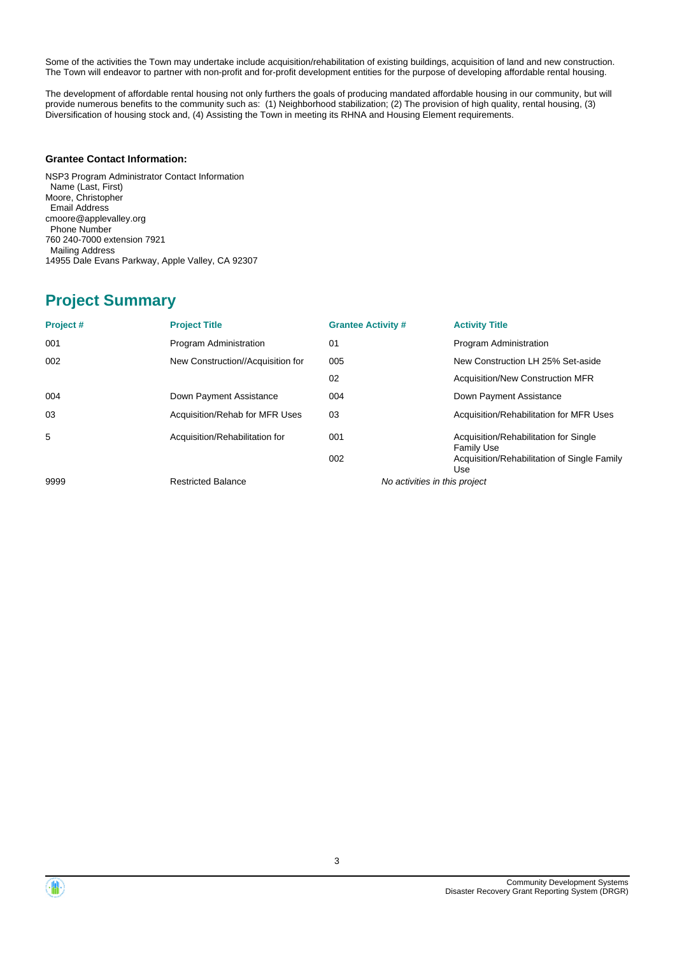Some of the activities the Town may undertake include acquisition/rehabilitation of existing buildings, acquisition of land and new construction. The Town will endeavor to partner with non-profit and for-profit development entities for the purpose of developing affordable rental housing.

The development of affordable rental housing not only furthers the goals of producing mandated affordable housing in our community, but will provide numerous benefits to the community such as: (1) Neighborhood stabilization; (2) The provision of high quality, rental housing, (3) Diversification of housing stock and, (4) Assisting the Town in meeting its RHNA and Housing Element requirements.

#### **Grantee Contact Information:**

NSP3 Program Administrator Contact Information Name (Last, First) Moore, Christopher Email Address cmoore@applevalley.org Phone Number 760 240-7000 extension 7921 Mailing Address 14955 Dale Evans Parkway, Apple Valley, CA 92307

# **Project Summary**

| Project# | <b>Project Title</b>              | <b>Grantee Activity #</b>     | <b>Activity Title</b>                                      |
|----------|-----------------------------------|-------------------------------|------------------------------------------------------------|
| 001      | Program Administration            | 01                            | Program Administration                                     |
| 002      | New Construction//Acquisition for | 005                           | New Construction LH 25% Set-aside                          |
|          |                                   | 02                            | <b>Acquisition/New Construction MFR</b>                    |
| 004      | Down Payment Assistance           | 004                           | Down Payment Assistance                                    |
| 03       | Acquisition/Rehab for MFR Uses    | 03                            | Acquisition/Rehabilitation for MFR Uses                    |
| 5        | Acquisition/Rehabilitation for    | 001                           | Acquisition/Rehabilitation for Single<br><b>Family Use</b> |
|          |                                   | 002                           | Acquisition/Rehabilitation of Single Family<br>Use         |
| 9999     | <b>Restricted Balance</b>         | No activities in this project |                                                            |

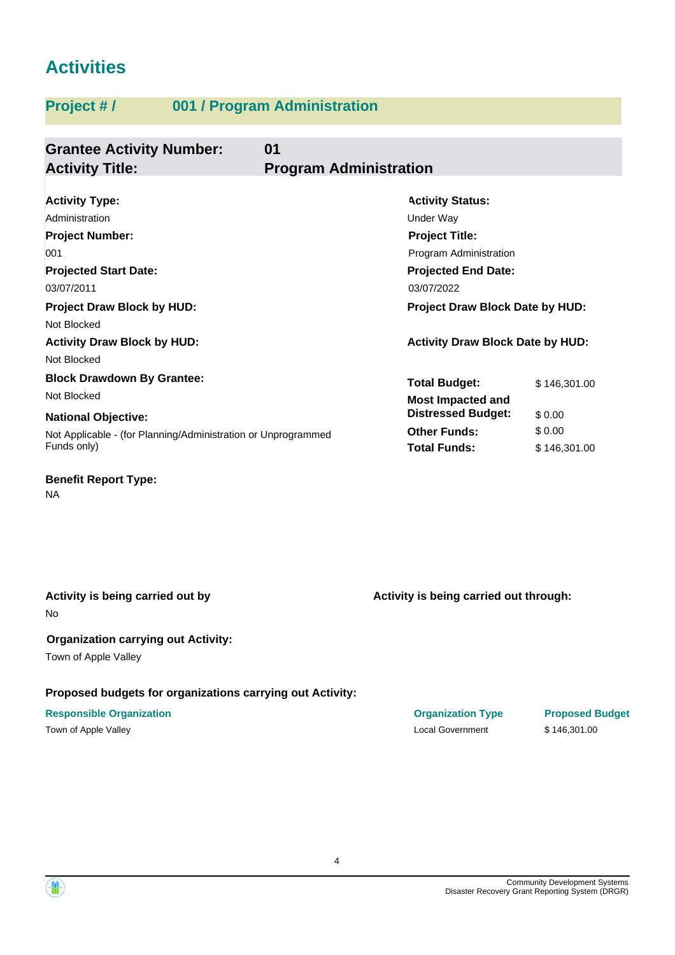# **Activities**

# **Project # / 001 / Program Administration**

| <b>Grantee Activity Number:</b><br><b>Activity Title:</b>     | 01<br><b>Program Administration</b>     |              |  |  |
|---------------------------------------------------------------|-----------------------------------------|--------------|--|--|
|                                                               |                                         |              |  |  |
| <b>Activity Type:</b>                                         | <b>Activity Status:</b>                 |              |  |  |
| Administration                                                | <b>Under Way</b>                        |              |  |  |
| <b>Project Number:</b>                                        | <b>Project Title:</b>                   |              |  |  |
| 001                                                           | Program Administration                  |              |  |  |
| <b>Projected Start Date:</b>                                  | <b>Projected End Date:</b>              |              |  |  |
| 03/07/2011                                                    | 03/07/2022                              |              |  |  |
| <b>Project Draw Block by HUD:</b>                             | <b>Project Draw Block Date by HUD:</b>  |              |  |  |
| Not Blocked                                                   |                                         |              |  |  |
| <b>Activity Draw Block by HUD:</b>                            | <b>Activity Draw Block Date by HUD:</b> |              |  |  |
| Not Blocked                                                   |                                         |              |  |  |
| <b>Block Drawdown By Grantee:</b>                             | <b>Total Budget:</b>                    | \$146,301.00 |  |  |
| Not Blocked                                                   | <b>Most Impacted and</b>                |              |  |  |
| <b>National Objective:</b>                                    | <b>Distressed Budget:</b>               | \$0.00       |  |  |
| Not Applicable - (for Planning/Administration or Unprogrammed | <b>Other Funds:</b>                     | \$0.00       |  |  |
| Funds only)                                                   | <b>Total Funds:</b>                     | \$146,301.00 |  |  |

**Benefit Report Type:**

NA

## **Activity is being carried out by**

No

#### **Organization carrying out Activity:**

Town of Apple Valley

### **Proposed budgets for organizations carrying out Activity:**

## **Responsible Organization Organization Type Proposed Budget**

Town of Apple Valley Superior Contract Contract Contract Contract Contract Contract Contract Contract Contract Contract Contract Contract Contract Contract Contract Contract Contract Contract Contract Contract Contract Con

**Activity is being carried out through:**

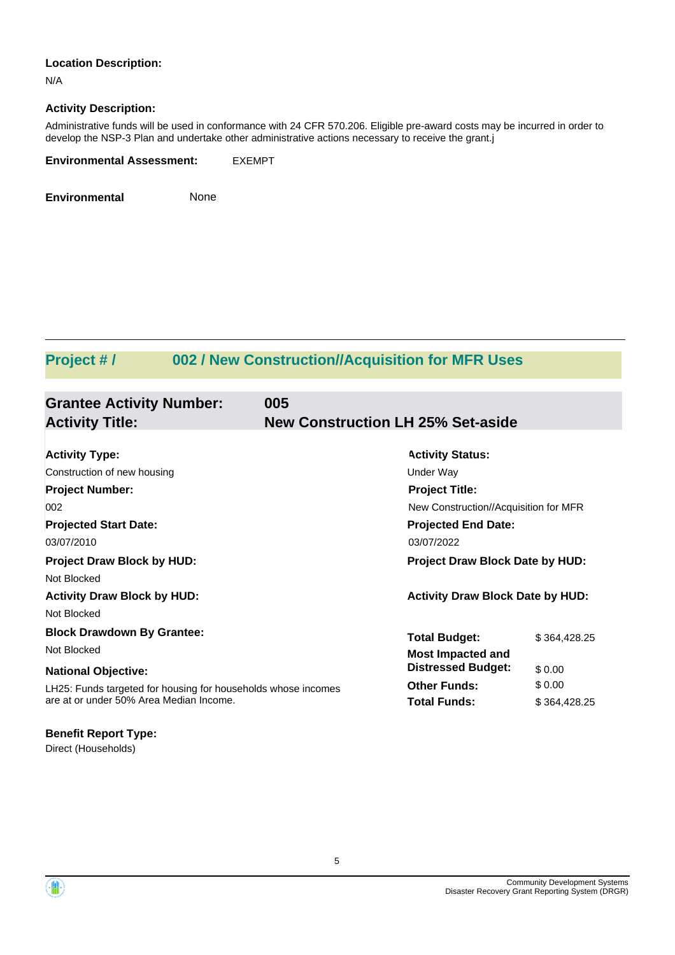#### **Location Description:**

N/A

#### **Activity Description:**

Administrative funds will be used in conformance with 24 CFR 570.206. Eligible pre-award costs may be incurred in order to develop the NSP-3 Plan and undertake other administrative actions necessary to receive the grant.j

| <b>Environmental Assessment:</b> | <b>EXEMPT</b> |
|----------------------------------|---------------|
|                                  |               |

**Environmental** None

# **Project # / 002 / New Construction//Acquisition for MFR Uses**

| <b>Grantee Activity Number:</b><br><b>Activity Title:</b>                                                | 005<br><b>New Construction LH 25% Set-aside</b>  |                                                                |  |  |
|----------------------------------------------------------------------------------------------------------|--------------------------------------------------|----------------------------------------------------------------|--|--|
| <b>Activity Type:</b><br>Construction of new housing                                                     | <b>Activity Status:</b><br>Under Way             |                                                                |  |  |
| <b>Project Number:</b><br>002                                                                            |                                                  | <b>Project Title:</b><br>New Construction//Acquisition for MFR |  |  |
| <b>Projected Start Date:</b><br>03/07/2010                                                               | <b>Projected End Date:</b><br>03/07/2022         |                                                                |  |  |
| <b>Project Draw Block by HUD:</b><br>Not Blocked                                                         |                                                  | <b>Project Draw Block Date by HUD:</b>                         |  |  |
| <b>Activity Draw Block by HUD:</b><br>Not Blocked                                                        | <b>Activity Draw Block Date by HUD:</b>          |                                                                |  |  |
| <b>Block Drawdown By Grantee:</b><br>Not Blocked                                                         | <b>Total Budget:</b><br><b>Most Impacted and</b> | \$364,428.25                                                   |  |  |
| <b>National Objective:</b>                                                                               | <b>Distressed Budget:</b><br><b>Other Funds:</b> | \$0.00<br>\$0.00                                               |  |  |
| LH25: Funds targeted for housing for households whose incomes<br>are at or under 50% Area Median Income. | <b>Total Funds:</b>                              | \$364,428.25                                                   |  |  |
| <b>Denatt Denant Tunes</b>                                                                               |                                                  |                                                                |  |  |

Direct (Households) **Benefit Report Type:**

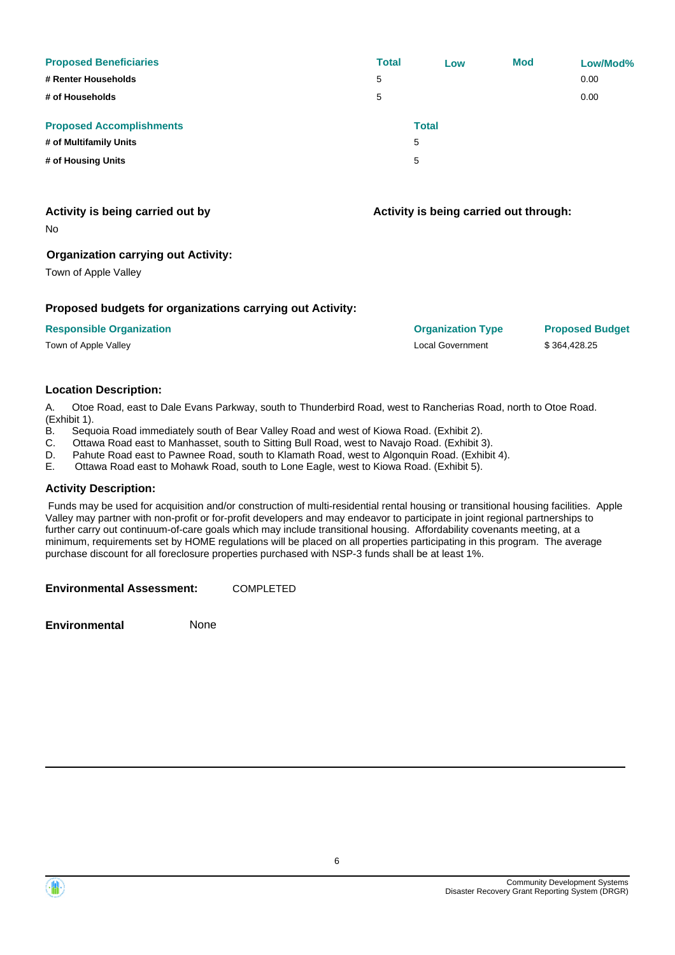| <b>Proposed Beneficiaries</b><br># Renter Households | <b>Total</b><br>5 | Low          | <b>Mod</b> | Low/Mod%<br>0.00 |
|------------------------------------------------------|-------------------|--------------|------------|------------------|
| # of Households                                      | 5                 |              |            | 0.00             |
| <b>Proposed Accomplishments</b>                      |                   | <b>Total</b> |            |                  |
| # of Multifamily Units                               |                   | 5            |            |                  |
| # of Housing Units                                   |                   | 5            |            |                  |

#### **Activity is being carried out by**

No

#### **Organization carrying out Activity:**

Town of Apple Valley

#### **Proposed budgets for organizations carrying out Activity:**

| <b>Responsible Organization</b> |
|---------------------------------|
|---------------------------------|

Town of Apple Valley Local Government \$ 364,428.25

**Activity is being carried out through:**

**Responsible Organization Organization Type Proposed Budget**

#### **Location Description:**

A. Otoe Road, east to Dale Evans Parkway, south to Thunderbird Road, west to Rancherias Road, north to Otoe Road. (Exhibit 1).

- B. Sequoia Road immediately south of Bear Valley Road and west of Kiowa Road. (Exhibit 2).
- C. Ottawa Road east to Manhasset, south to Sitting Bull Road, west to Navajo Road. (Exhibit 3).
- D. Pahute Road east to Pawnee Road, south to Klamath Road, west to Algonquin Road. (Exhibit 4).<br>E. Ottawa Road east to Mohawk Road. south to Lone Eagle. west to Kiowa Road. (Exhibit 5).
- E. Ottawa Road east to Mohawk Road, south to Lone Eagle, west to Kiowa Road. (Exhibit 5).

#### **Activity Description:**

 Funds may be used for acquisition and/or construction of multi-residential rental housing or transitional housing facilities. Apple Valley may partner with non-profit or for-profit developers and may endeavor to participate in joint regional partnerships to further carry out continuum-of-care goals which may include transitional housing. Affordability covenants meeting, at a minimum, requirements set by HOME regulations will be placed on all properties participating in this program. The average purchase discount for all foreclosure properties purchased with NSP-3 funds shall be at least 1%.

**Environmental Assessment:** COMPLETED

**Environmental** None

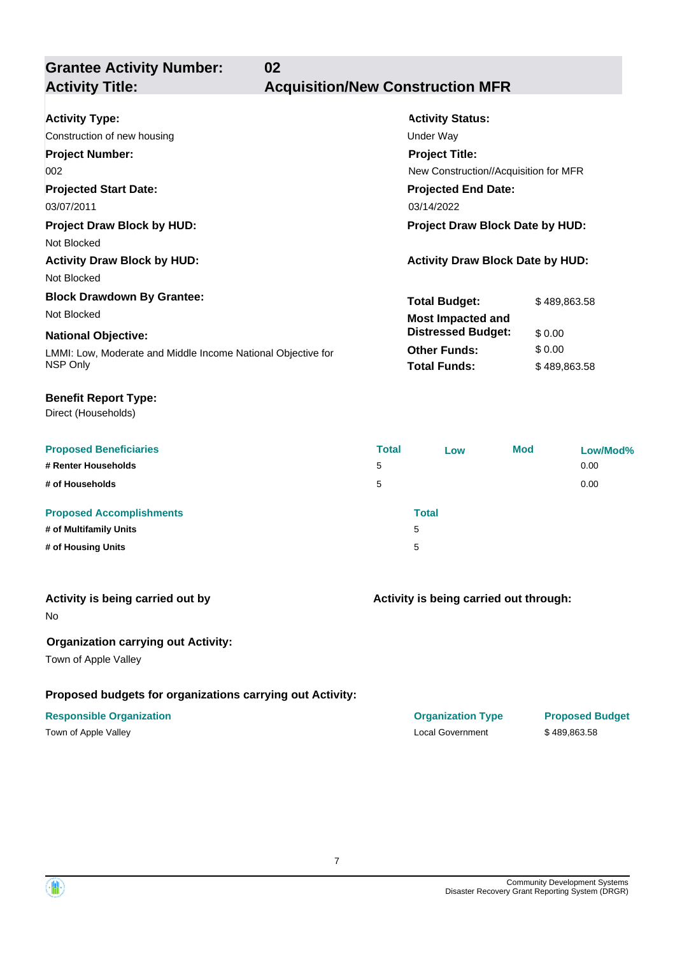**Grantee Activity Number: 02**

## **Activity Title: Acquisition/New Construction MFR**

| <b>Activity Type:</b>                                        | <b>Activity Status:</b>                 |              |  |
|--------------------------------------------------------------|-----------------------------------------|--------------|--|
| Construction of new housing                                  | Under Way                               |              |  |
| <b>Project Number:</b>                                       | <b>Project Title:</b>                   |              |  |
| 002                                                          | New Construction//Acquisition for MFR   |              |  |
| <b>Projected Start Date:</b>                                 | <b>Projected End Date:</b>              |              |  |
| 03/07/2011                                                   | 03/14/2022                              |              |  |
| <b>Project Draw Block by HUD:</b>                            | Project Draw Block Date by HUD:         |              |  |
| Not Blocked                                                  |                                         |              |  |
| <b>Activity Draw Block by HUD:</b>                           | <b>Activity Draw Block Date by HUD:</b> |              |  |
| Not Blocked                                                  |                                         |              |  |
| <b>Block Drawdown By Grantee:</b>                            | <b>Total Budget:</b>                    | \$489,863.58 |  |
| Not Blocked                                                  | <b>Most Impacted and</b>                |              |  |
| <b>National Objective:</b>                                   | <b>Distressed Budget:</b>               | \$0.00       |  |
| LMMI: Low, Moderate and Middle Income National Objective for | <b>Other Funds:</b>                     | \$0.00       |  |
| NSP Only                                                     | <b>Total Funds:</b>                     | \$489,863.58 |  |

#### **Benefit Report Type:**

Direct (Households)

| <b>Proposed Beneficiaries</b>                             | <b>Total</b> | Low        | <b>Mod</b> | Low/Mod% |
|-----------------------------------------------------------|--------------|------------|------------|----------|
| # Renter Households                                       | 5            |            |            | 0.00     |
| # of Households                                           | 5            |            |            | 0.00     |
| <b>Proposed Accomplishments</b><br># of Multifamily Units |              | Total<br>5 |            |          |
| # of Housing Units                                        |              | 5          |            |          |

#### **Activity is being carried out by**

No

### **Organization carrying out Activity:**

Town of Apple Valley

### **Proposed budgets for organizations carrying out Activity:**

**Activity is being carried out through:**

**Responsible Organization Organization Type Proposed Budget** Town of Apple Valley Local Government \$ 489,863.58

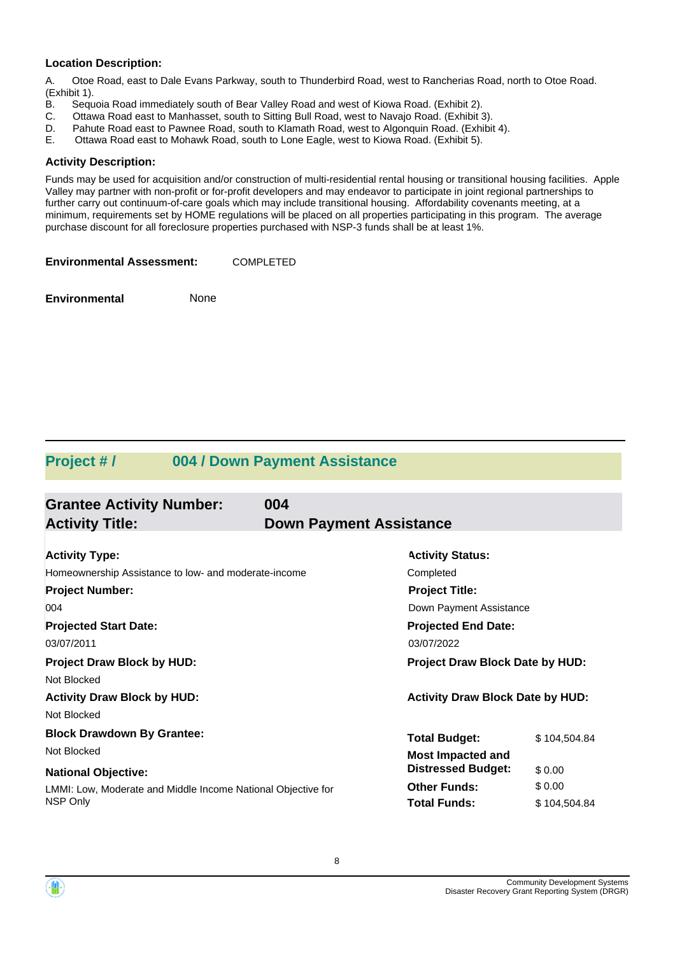#### **Location Description:**

A. Otoe Road, east to Dale Evans Parkway, south to Thunderbird Road, west to Rancherias Road, north to Otoe Road. (Exhibit 1).

- B. Sequoia Road immediately south of Bear Valley Road and west of Kiowa Road. (Exhibit 2).
- C. Ottawa Road east to Manhasset, south to Sitting Bull Road, west to Navajo Road. (Exhibit 3).
- D. Pahute Road east to Pawnee Road, south to Klamath Road, west to Algonquin Road. (Exhibit 4).
- E. Ottawa Road east to Mohawk Road, south to Lone Eagle, west to Kiowa Road. (Exhibit 5).

#### **Activity Description:**

Funds may be used for acquisition and/or construction of multi-residential rental housing or transitional housing facilities. Apple Valley may partner with non-profit or for-profit developers and may endeavor to participate in joint regional partnerships to further carry out continuum-of-care goals which may include transitional housing. Affordability covenants meeting, at a minimum, requirements set by HOME regulations will be placed on all properties participating in this program. The average purchase discount for all foreclosure properties purchased with NSP-3 funds shall be at least 1%.

**Environmental Assessment:** COMPLETED

**Environmental** None

## **Project # / 004 / Down Payment Assistance**

| <b>Grantee Activity Number:</b>                              | 004                            |                                         |              |  |  |  |
|--------------------------------------------------------------|--------------------------------|-----------------------------------------|--------------|--|--|--|
| <b>Activity Title:</b>                                       | <b>Down Payment Assistance</b> |                                         |              |  |  |  |
| <b>Activity Type:</b>                                        |                                | <b>Activity Status:</b>                 |              |  |  |  |
| Homeownership Assistance to low- and moderate-income         |                                | Completed                               |              |  |  |  |
| <b>Project Number:</b>                                       | <b>Project Title:</b>          |                                         |              |  |  |  |
| 004                                                          | Down Payment Assistance        |                                         |              |  |  |  |
| <b>Projected Start Date:</b>                                 | <b>Projected End Date:</b>     |                                         |              |  |  |  |
| 03/07/2011                                                   | 03/07/2022                     |                                         |              |  |  |  |
| <b>Project Draw Block by HUD:</b>                            |                                | <b>Project Draw Block Date by HUD:</b>  |              |  |  |  |
| Not Blocked                                                  |                                |                                         |              |  |  |  |
| <b>Activity Draw Block by HUD:</b>                           |                                | <b>Activity Draw Block Date by HUD:</b> |              |  |  |  |
| Not Blocked                                                  |                                |                                         |              |  |  |  |
| <b>Block Drawdown By Grantee:</b>                            |                                | <b>Total Budget:</b>                    | \$104,504.84 |  |  |  |
| Not Blocked                                                  |                                | <b>Most Impacted and</b>                |              |  |  |  |
| <b>National Objective:</b>                                   |                                | <b>Distressed Budget:</b>               | \$0.00       |  |  |  |
| LMMI: Low, Moderate and Middle Income National Objective for |                                | <b>Other Funds:</b>                     | \$0.00       |  |  |  |
| <b>NSP Only</b>                                              |                                | <b>Total Funds:</b>                     | \$104,504.84 |  |  |  |

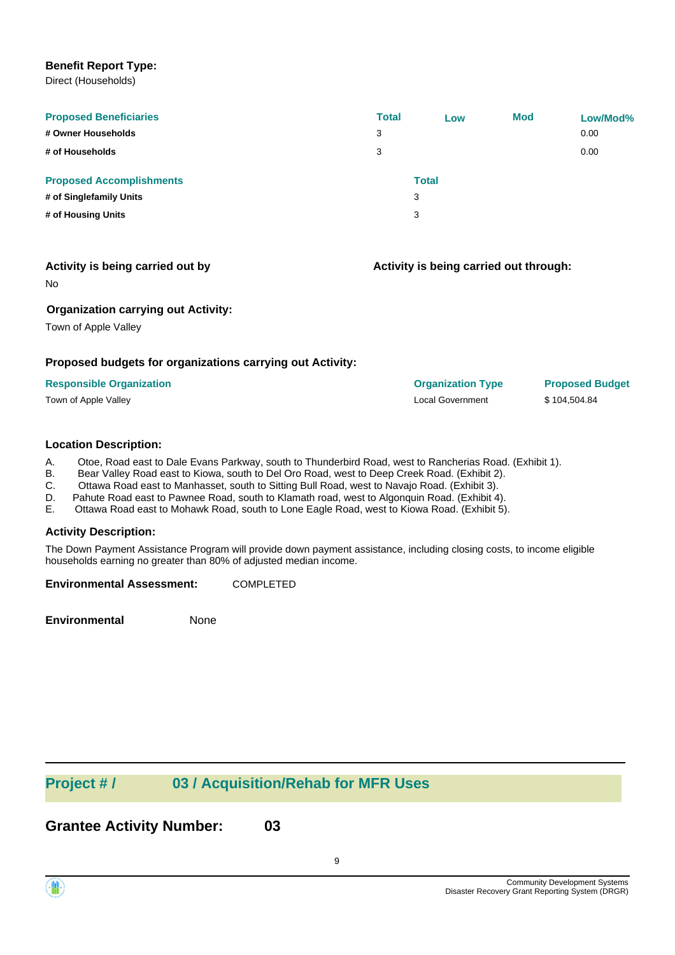#### **Benefit Report Type:**

Direct (Households)

| <b>Proposed Beneficiaries</b>   | <b>Total</b> | Low          | <b>Mod</b> | Low/Mod% |
|---------------------------------|--------------|--------------|------------|----------|
| # Owner Households              | 3            |              |            | 0.00     |
| # of Households                 | 3            |              |            | 0.00     |
| <b>Proposed Accomplishments</b> |              | <b>Total</b> |            |          |
| # of Singlefamily Units         |              | 3            |            |          |
| # of Housing Units              |              | 3            |            |          |
|                                 |              |              |            |          |

#### **Activity is being carried out by**

**Activity is being carried out through:**

No

#### **Organization carrying out Activity:**

Town of Apple Valley

#### **Proposed budgets for organizations carrying out Activity:**

| <b>Responsible Organization</b> | <b>Organization Type</b> | <b>Proposed Budget</b> |
|---------------------------------|--------------------------|------------------------|
| Town of Apple Valley            | Local Government         | \$104.504.84           |

#### **Location Description:**

A. Otoe, Road east to Dale Evans Parkway, south to Thunderbird Road, west to Rancherias Road. (Exhibit 1).

B. Bear Valley Road east to Kiowa, south to Del Oro Road, west to Deep Creek Road. (Exhibit 2).

C. Ottawa Road east to Manhasset, south to Sitting Bull Road, west to Navajo Road. (Exhibit 3).

D. Pahute Road east to Pawnee Road, south to Klamath road, west to Algonquin Road. (Exhibit 4).

E. Ottawa Road east to Mohawk Road, south to Lone Eagle Road, west to Kiowa Road. (Exhibit 5).

#### **Activity Description:**

The Down Payment Assistance Program will provide down payment assistance, including closing costs, to income eligible households earning no greater than 80% of adjusted median income.

**Environmental Assessment:** COMPLETED

**Environmental** None

# **Project # / 03 / Acquisition/Rehab for MFR Uses**

**Grantee Activity Number: 03**

9

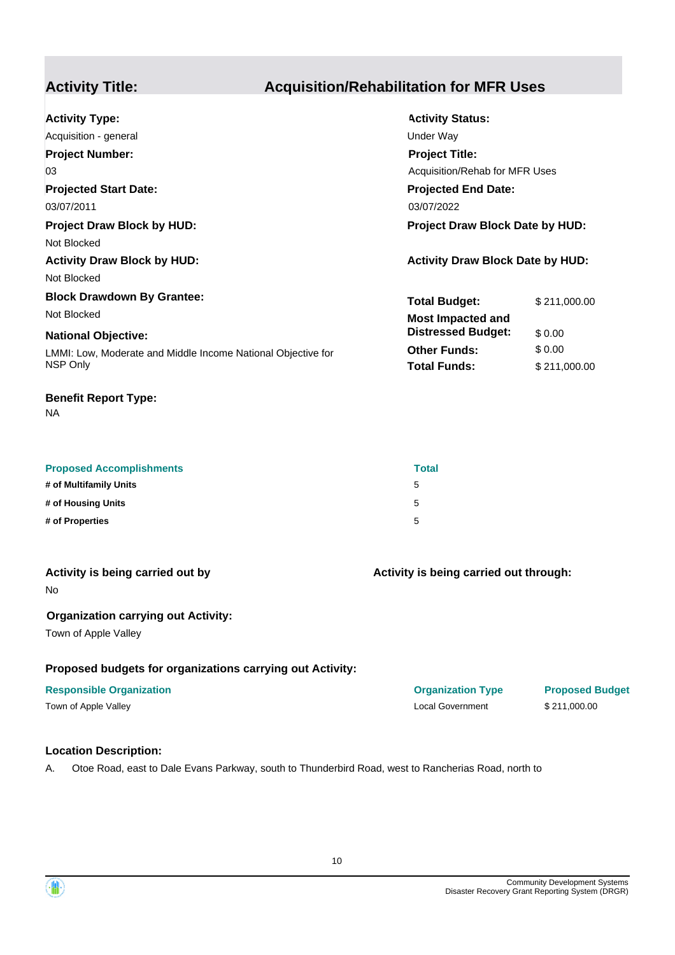# **Activity Title: Acquisition/Rehabilitation for MFR Uses**

| <b>Activity Type:</b>                                        | <b>Activity Status:</b>                 |              |
|--------------------------------------------------------------|-----------------------------------------|--------------|
| Acquisition - general                                        | Under Way                               |              |
| <b>Project Number:</b>                                       | <b>Project Title:</b>                   |              |
| 03                                                           | Acquisition/Rehab for MFR Uses          |              |
| <b>Projected Start Date:</b>                                 | <b>Projected End Date:</b>              |              |
| 03/07/2011                                                   | 03/07/2022                              |              |
| <b>Project Draw Block by HUD:</b>                            | <b>Project Draw Block Date by HUD:</b>  |              |
| Not Blocked                                                  |                                         |              |
| <b>Activity Draw Block by HUD:</b>                           | <b>Activity Draw Block Date by HUD:</b> |              |
| Not Blocked                                                  |                                         |              |
| <b>Block Drawdown By Grantee:</b>                            | <b>Total Budget:</b>                    | \$211,000.00 |
| Not Blocked                                                  | <b>Most Impacted and</b>                |              |
| <b>National Objective:</b>                                   | <b>Distressed Budget:</b>               | \$0.00       |
| LMMI: Low, Moderate and Middle Income National Objective for | <b>Other Funds:</b>                     | \$0.00       |
| NSP Only                                                     | <b>Total Funds:</b>                     | \$211,000.00 |
|                                                              |                                         |              |

#### **Benefit Report Type:**

NA

| <b>Proposed Accomplishments</b> | <b>Total</b> |
|---------------------------------|--------------|
| # of Multifamily Units          | 5            |
| # of Housing Units              | 5            |
| # of Properties                 | 5            |

| Activity is being carried out by |  |
|----------------------------------|--|
| No                               |  |

#### **Organization carrying out Activity:**

Town of Apple Valley

#### **Proposed budgets for organizations carrying out Activity:**

### **Responsible Organization Organization Type Proposed Budget**

Town of Apple Valley **Sample Valley** Construction Construction Construction Construction Construction Construction Construction Construction Construction Construction Construction Construction Construction Construction Con

## **Location Description:**

A. Otoe Road, east to Dale Evans Parkway, south to Thunderbird Road, west to Rancherias Road, north to



**Activity is being carried out through:**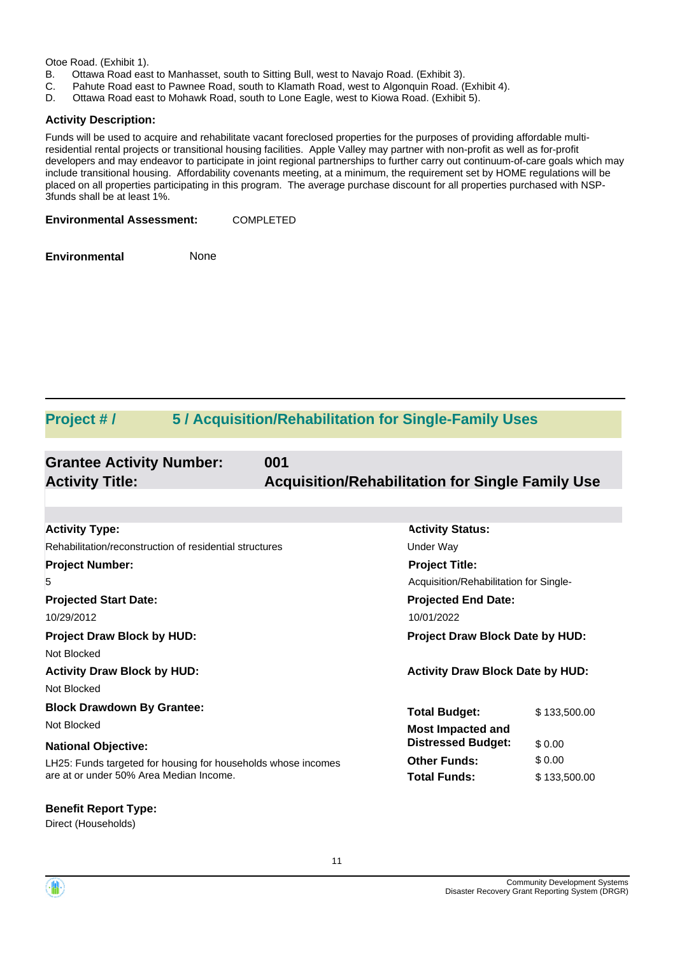Otoe Road. (Exhibit 1).

- B. Ottawa Road east to Manhasset, south to Sitting Bull, west to Navajo Road. (Exhibit 3).
- C. Pahute Road east to Pawnee Road, south to Klamath Road, west to Algonquin Road. (Exhibit 4).
- D. Ottawa Road east to Mohawk Road, south to Lone Eagle, west to Kiowa Road. (Exhibit 5).

#### **Activity Description:**

Funds will be used to acquire and rehabilitate vacant foreclosed properties for the purposes of providing affordable multiresidential rental projects or transitional housing facilities. Apple Valley may partner with non-profit as well as for-profit developers and may endeavor to participate in joint regional partnerships to further carry out continuum-of-care goals which may include transitional housing. Affordability covenants meeting, at a minimum, the requirement set by HOME regulations will be placed on all properties participating in this program. The average purchase discount for all properties purchased with NSP-3funds shall be at least 1%.

**Environmental Assessment:** COMPLETED

**Environmental** None

## **Project # / 5 / Acquisition/Rehabilitation for Single-Family Uses**

| <b>Grantee Activity Number:</b> | 001                                                     |
|---------------------------------|---------------------------------------------------------|
| <b>Activity Title:</b>          | <b>Acquisition/Rehabilitation for Single Family Use</b> |
|                                 |                                                         |
|                                 |                                                         |

| <b>Activity Type:</b>                                         | <b>Activity Status:</b>                 |              |  |
|---------------------------------------------------------------|-----------------------------------------|--------------|--|
| Rehabilitation/reconstruction of residential structures       | Under Way                               |              |  |
| <b>Project Number:</b>                                        | <b>Project Title:</b>                   |              |  |
| 5                                                             | Acquisition/Rehabilitation for Single-  |              |  |
| <b>Projected Start Date:</b>                                  | <b>Projected End Date:</b>              |              |  |
| 10/29/2012                                                    | 10/01/2022                              |              |  |
| <b>Project Draw Block by HUD:</b>                             | <b>Project Draw Block Date by HUD:</b>  |              |  |
| Not Blocked                                                   |                                         |              |  |
| <b>Activity Draw Block by HUD:</b>                            | <b>Activity Draw Block Date by HUD:</b> |              |  |
| Not Blocked                                                   |                                         |              |  |
| <b>Block Drawdown By Grantee:</b>                             | <b>Total Budget:</b>                    | \$133,500.00 |  |
| Not Blocked                                                   | <b>Most Impacted and</b>                |              |  |
| <b>National Objective:</b>                                    | <b>Distressed Budget:</b>               | \$0.00       |  |
| LH25: Funds targeted for housing for households whose incomes | <b>Other Funds:</b>                     | \$0.00       |  |
| are at or under 50% Area Median Income.                       | <b>Total Funds:</b>                     | \$133,500.00 |  |
|                                                               |                                         |              |  |

# **Benefit Report Type:**

Direct (Households)

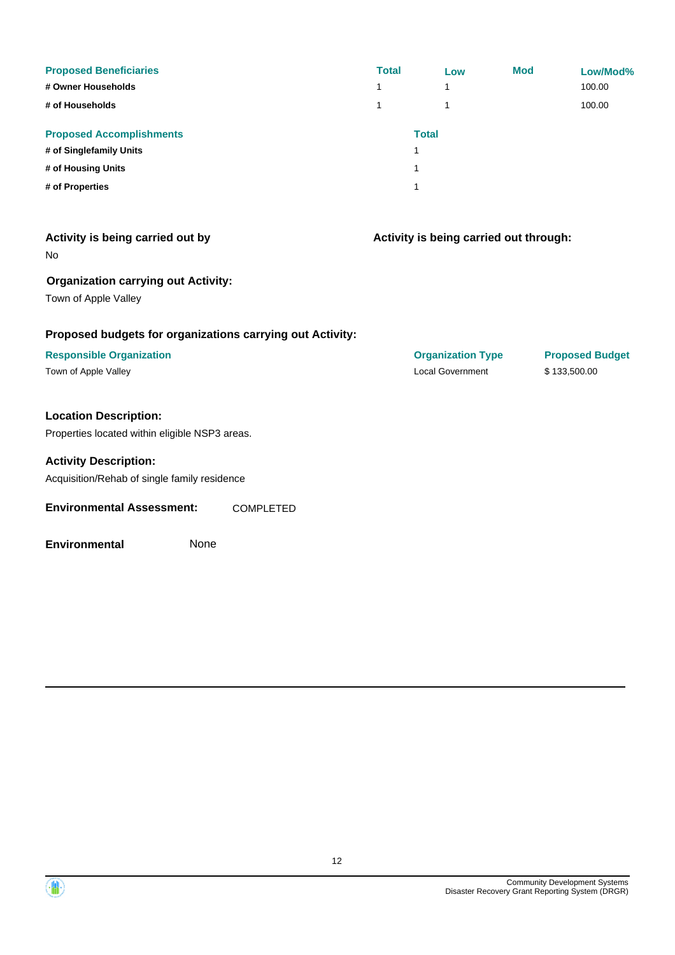| <b>Proposed Beneficiaries</b><br># Owner Households<br># of Households | <b>Total</b><br>1<br>1 | Low<br>۸<br>1 | <b>Mod</b> | Low/Mod%<br>100.00<br>100.00 |
|------------------------------------------------------------------------|------------------------|---------------|------------|------------------------------|
| <b>Proposed Accomplishments</b>                                        |                        | <b>Total</b>  |            |                              |
| # of Singlefamily Units                                                |                        |               |            |                              |
| # of Housing Units                                                     |                        |               |            |                              |
| # of Properties                                                        |                        |               |            |                              |

| Activity is being carried out by<br>No.                            | Activity is being carried out through: |                        |
|--------------------------------------------------------------------|----------------------------------------|------------------------|
| <b>Organization carrying out Activity:</b><br>Town of Apple Valley |                                        |                        |
| Proposed budgets for organizations carrying out Activity:          |                                        |                        |
| <b>Responsible Organization</b>                                    | <b>Organization Type</b>               | <b>Proposed Budget</b> |
| Town of Apple Valley                                               | <b>Local Government</b>                | \$133,500.00           |
| <b>Location Description:</b>                                       |                                        |                        |
| Properties located within eligible NSP3 areas.                     |                                        |                        |
| <b>Activity Description:</b>                                       |                                        |                        |
| Acquisition/Rehab of single family residence                       |                                        |                        |

**Environmental Assessment:** COMPLETED

**Environmental** None

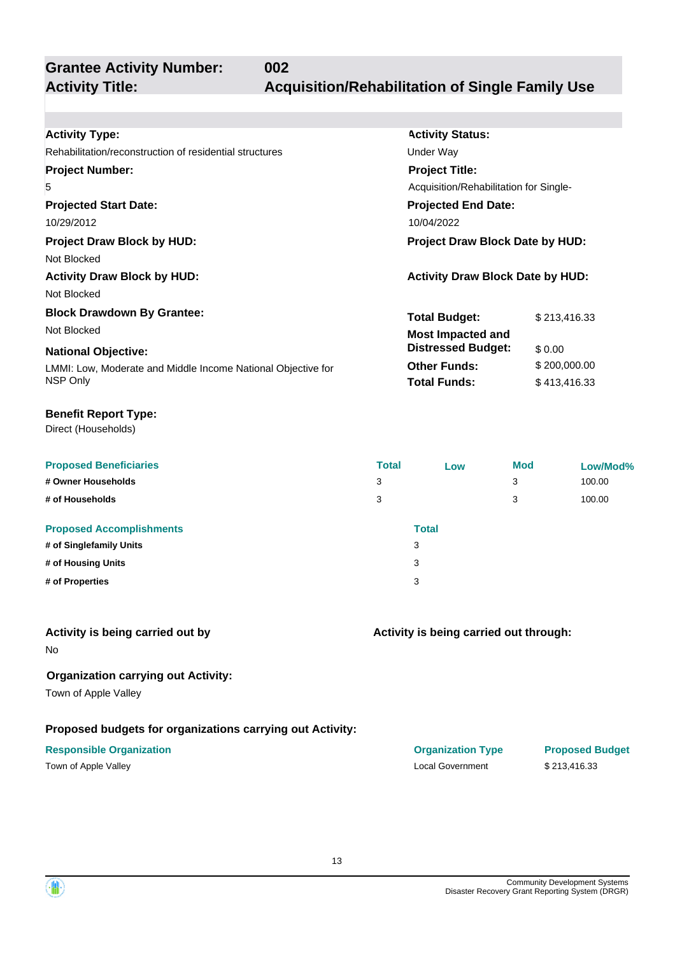**Grantee Activity Number:**

# **Activity Title: Acquisition/Rehabilitation of Single Family Use**

| <b>Activity Type:</b>                                        |              | <b>Activity Status:</b>                 |            |              |
|--------------------------------------------------------------|--------------|-----------------------------------------|------------|--------------|
| Rehabilitation/reconstruction of residential structures      |              | Under Way                               |            |              |
| <b>Project Number:</b>                                       |              | <b>Project Title:</b>                   |            |              |
| 5                                                            |              | Acquisition/Rehabilitation for Single-  |            |              |
| <b>Projected Start Date:</b>                                 |              | <b>Projected End Date:</b>              |            |              |
| 10/29/2012                                                   |              | 10/04/2022                              |            |              |
| <b>Project Draw Block by HUD:</b>                            |              | Project Draw Block Date by HUD:         |            |              |
| Not Blocked                                                  |              |                                         |            |              |
| <b>Activity Draw Block by HUD:</b>                           |              | <b>Activity Draw Block Date by HUD:</b> |            |              |
| Not Blocked                                                  |              |                                         |            |              |
| <b>Block Drawdown By Grantee:</b>                            |              | <b>Total Budget:</b>                    |            | \$213,416.33 |
| Not Blocked                                                  |              | Most Impacted and                       |            |              |
| <b>National Objective:</b>                                   |              | <b>Distressed Budget:</b>               | \$0.00     |              |
| LMMI: Low, Moderate and Middle Income National Objective for |              | <b>Other Funds:</b>                     |            | \$200,000.00 |
| NSP Only                                                     |              | <b>Total Funds:</b>                     |            | \$413,416.33 |
| <b>Benefit Report Type:</b>                                  |              |                                         |            |              |
| Direct (Households)                                          |              |                                         |            |              |
| <b>Proposed Beneficiaries</b>                                | <b>Total</b> | Low                                     | <b>Mod</b> | Low/Mod%     |
|                                                              |              |                                         |            |              |

**002**

| <b>Proposed Beneficiaries</b>   | <b>Fotal</b> | Low          | Mod | Low/Mod% |
|---------------------------------|--------------|--------------|-----|----------|
| # Owner Households              | 3            |              | 3   | 100.00   |
| # of Households                 | 3            |              | 3   | 100.00   |
| <b>Proposed Accomplishments</b> |              | <b>Total</b> |     |          |
| # of Singlefamily Units         | 3            |              |     |          |
| # of Housing Units              | 3            |              |     |          |
| # of Properties                 | 3            |              |     |          |
|                                 |              |              |     |          |

#### **Activity is being carried out by**

No

#### **Organization carrying out Activity:**

Town of Apple Valley

### **Proposed budgets for organizations carrying out Activity:**

#### **Responsible Organization CONSERVIRGHT ACCORDING THE CONSERVIRGHT ORGANIZATION Type Proposed Budget**

#### **Activity is being carried out through:**

Town of Apple Valley Sample Valley and the Collection of Apple Valley Sample Valley and the Collection of Apple Valley Sample Valley and the Collection of Apple Valley Sample Valley and the Collection of Apple Valley Sampl

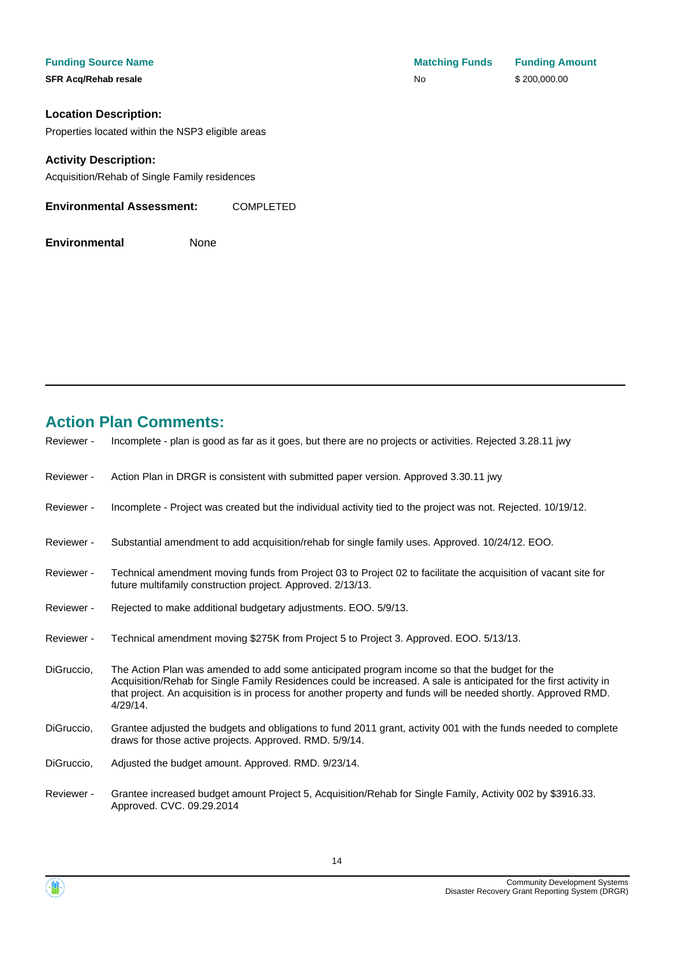**Location Description:**

Properties located within the NSP3 eligible areas

#### **Activity Description:**

Acquisition/Rehab of Single Family residences

| <b>Environmental Assessment:</b> | <b>COMPLETED</b> |
|----------------------------------|------------------|
|                                  |                  |

**Environmental** None

# **Action Plan Comments:**

| Reviewer - | Incomplete - plan is good as far as it goes, but there are no projects or activities. Rejected 3.28.11 jwy                                                                                                                                                                                                                                            |
|------------|-------------------------------------------------------------------------------------------------------------------------------------------------------------------------------------------------------------------------------------------------------------------------------------------------------------------------------------------------------|
| Reviewer - | Action Plan in DRGR is consistent with submitted paper version. Approved 3.30.11 jwy                                                                                                                                                                                                                                                                  |
| Reviewer - | Incomplete - Project was created but the individual activity tied to the project was not. Rejected. 10/19/12.                                                                                                                                                                                                                                         |
| Reviewer - | Substantial amendment to add acquisition/rehab for single family uses. Approved. 10/24/12. EOO.                                                                                                                                                                                                                                                       |
| Reviewer - | Technical amendment moving funds from Project 03 to Project 02 to facilitate the acquisition of vacant site for<br>future multifamily construction project. Approved. 2/13/13.                                                                                                                                                                        |
| Reviewer - | Rejected to make additional budgetary adjustments. EOO. 5/9/13.                                                                                                                                                                                                                                                                                       |
| Reviewer - | Technical amendment moving \$275K from Project 5 to Project 3. Approved. EOO. 5/13/13.                                                                                                                                                                                                                                                                |
| DiGruccio, | The Action Plan was amended to add some anticipated program income so that the budget for the<br>Acquisition/Rehab for Single Family Residences could be increased. A sale is anticipated for the first activity in<br>that project. An acquisition is in process for another property and funds will be needed shortly. Approved RMD.<br>$4/29/14$ . |
| DiGruccio, | Grantee adjusted the budgets and obligations to fund 2011 grant, activity 001 with the funds needed to complete<br>draws for those active projects. Approved. RMD. 5/9/14.                                                                                                                                                                            |
| DiGruccio, | Adjusted the budget amount. Approved. RMD. 9/23/14.                                                                                                                                                                                                                                                                                                   |
| Reviewer - | Grantee increased budget amount Project 5, Acquisition/Rehab for Single Family, Activity 002 by \$3916.33.<br>Approved. CVC. 09.29.2014                                                                                                                                                                                                               |